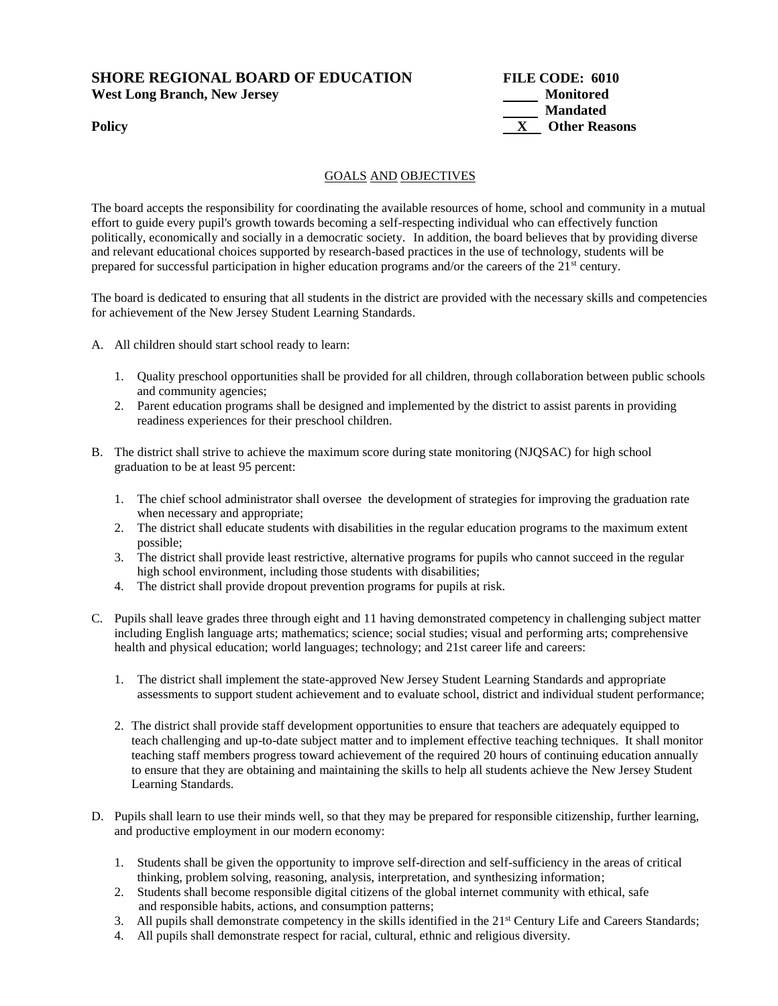### **SHORE REGIONAL BOARD OF EDUCATION FILE CODE: 6010**  West Long Branch, New Jersey **Monitored** Monitored



#### GOALS AND OBJECTIVES

The board accepts the responsibility for coordinating the available resources of home, school and community in a mutual effort to guide every pupil's growth towards becoming a self-respecting individual who can effectively function politically, economically and socially in a democratic society. In addition, the board believes that by providing diverse and relevant educational choices supported by research-based practices in the use of technology, students will be prepared for successful participation in higher education programs and/or the careers of the 21<sup>st</sup> century.

The board is dedicated to ensuring that all students in the district are provided with the necessary skills and competencies for achievement of the New Jersey Student Learning Standards.

- A. All children should start school ready to learn:
	- 1. Quality preschool opportunities shall be provided for all children, through collaboration between public schools and community agencies;
	- 2. Parent education programs shall be designed and implemented by the district to assist parents in providing readiness experiences for their preschool children.
- B. The district shall strive to achieve the maximum score during state monitoring (NJQSAC) for high school graduation to be at least 95 percent:
	- 1. The chief school administrator shall oversee the development of strategies for improving the graduation rate when necessary and appropriate;
	- 2. The district shall educate students with disabilities in the regular education programs to the maximum extent possible;
	- 3. The district shall provide least restrictive, alternative programs for pupils who cannot succeed in the regular high school environment, including those students with disabilities;
	- 4. The district shall provide dropout prevention programs for pupils at risk.
- C. Pupils shall leave grades three through eight and 11 having demonstrated competency in challenging subject matter including English language arts; mathematics; science; social studies; visual and performing arts; comprehensive health and physical education; world languages; technology; and 21st career life and careers:
	- 1. The district shall implement the state-approved New Jersey Student Learning Standards and appropriate assessments to support student achievement and to evaluate school, district and individual student performance;
	- 2. The district shall provide staff development opportunities to ensure that teachers are adequately equipped to teach challenging and up-to-date subject matter and to implement effective teaching techniques. It shall monitor teaching staff members progress toward achievement of the required 20 hours of continuing education annually to ensure that they are obtaining and maintaining the skills to help all students achieve the New Jersey Student Learning Standards.
- D. Pupils shall learn to use their minds well, so that they may be prepared for responsible citizenship, further learning, and productive employment in our modern economy:
	- 1. Students shall be given the opportunity to improve self-direction and self-sufficiency in the areas of critical thinking, problem solving, reasoning, analysis, interpretation, and synthesizing information;
	- 2. Students shall become responsible digital citizens of the global internet community with ethical, safe and responsible habits, actions, and consumption patterns;
	- 3. All pupils shall demonstrate competency in the skills identified in the 21<sup>st</sup> Century Life and Careers Standards;
	- 4. All pupils shall demonstrate respect for racial, cultural, ethnic and religious diversity.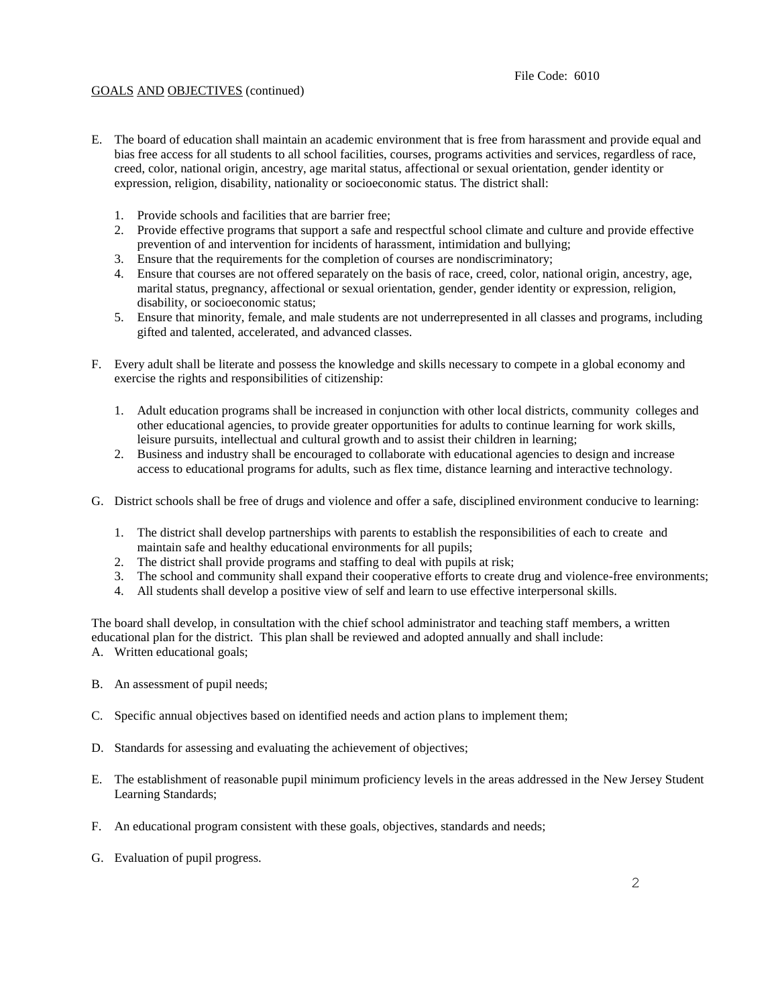#### GOALS AND OBJECTIVES (continued)

- E. The board of education shall maintain an academic environment that is free from harassment and provide equal and bias free access for all students to all school facilities, courses, programs activities and services, regardless of race, creed, color, national origin, ancestry, age marital status, affectional or sexual orientation, gender identity or expression, religion, disability, nationality or socioeconomic status. The district shall:
	- 1. Provide schools and facilities that are barrier free;
	- 2. Provide effective programs that support a safe and respectful school climate and culture and provide effective prevention of and intervention for incidents of harassment, intimidation and bullying;
	- 3. Ensure that the requirements for the completion of courses are nondiscriminatory;
	- 4. Ensure that courses are not offered separately on the basis of race, creed, color, national origin, ancestry, age, marital status, pregnancy, affectional or sexual orientation, gender, gender identity or expression, religion, disability, or socioeconomic status;
	- 5. Ensure that minority, female, and male students are not underrepresented in all classes and programs, including gifted and talented, accelerated, and advanced classes.
- F. Every adult shall be literate and possess the knowledge and skills necessary to compete in a global economy and exercise the rights and responsibilities of citizenship:
	- 1. Adult education programs shall be increased in conjunction with other local districts, community colleges and other educational agencies, to provide greater opportunities for adults to continue learning for work skills, leisure pursuits, intellectual and cultural growth and to assist their children in learning;
	- 2. Business and industry shall be encouraged to collaborate with educational agencies to design and increase access to educational programs for adults, such as flex time, distance learning and interactive technology.
- G. District schools shall be free of drugs and violence and offer a safe, disciplined environment conducive to learning:
	- 1. The district shall develop partnerships with parents to establish the responsibilities of each to create and maintain safe and healthy educational environments for all pupils;
	- 2. The district shall provide programs and staffing to deal with pupils at risk;
	- 3. The school and community shall expand their cooperative efforts to create drug and violence-free environments;
	- 4. All students shall develop a positive view of self and learn to use effective interpersonal skills.

The board shall develop, in consultation with the chief school administrator and teaching staff members, a written educational plan for the district. This plan shall be reviewed and adopted annually and shall include: A. Written educational goals;

- B. An assessment of pupil needs;
- C. Specific annual objectives based on identified needs and action plans to implement them;
- D. Standards for assessing and evaluating the achievement of objectives;
- E. The establishment of reasonable pupil minimum proficiency levels in the areas addressed in the New Jersey Student Learning Standards;
- F. An educational program consistent with these goals, objectives, standards and needs;
- G. Evaluation of pupil progress.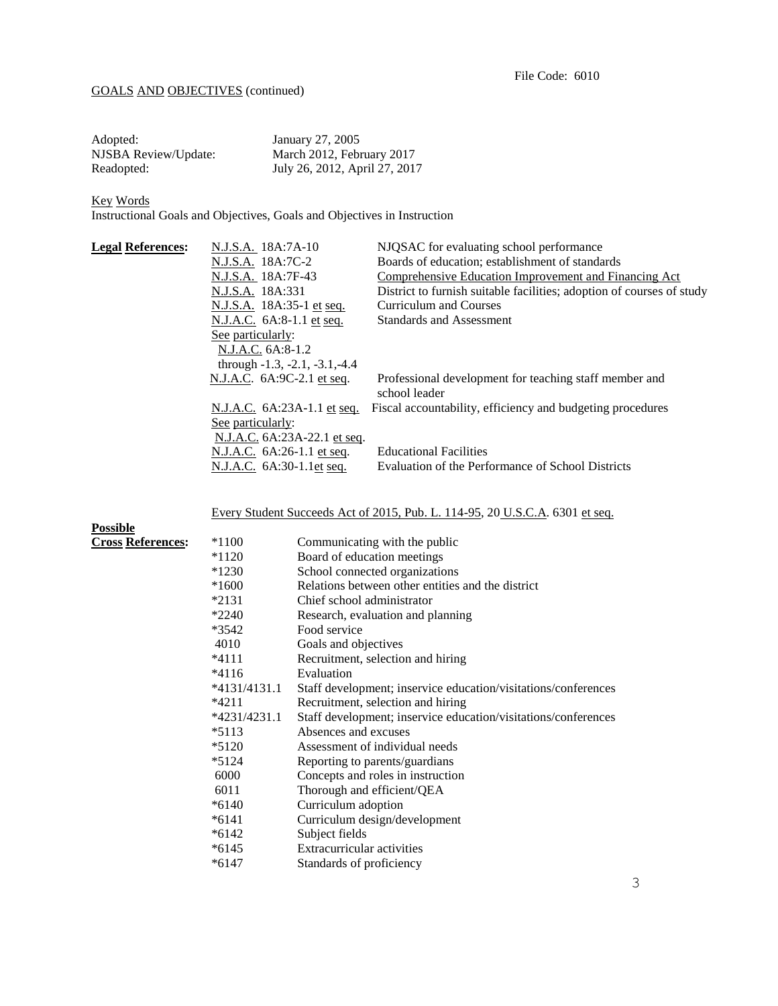## GOALS AND OBJECTIVES (continued)

| Adopted:             | January 27, 2005              |
|----------------------|-------------------------------|
| NJSBA Review/Update: | March 2012, February 2017     |
| Readopted:           | July 26, 2012, April 27, 2017 |

Key Words

Instructional Goals and Objectives, Goals and Objectives in Instruction

| <b>Legal References:</b> | N.J.S.A. 18A:7A-10               | NJQSAC for evaluating school performance                              |
|--------------------------|----------------------------------|-----------------------------------------------------------------------|
|                          | N.J.S.A. 18A:7C-2                | Boards of education; establishment of standards                       |
|                          | N.J.S.A. 18A:7F-43               | Comprehensive Education Improvement and Financing Act                 |
|                          | N.J.S.A. 18A:331                 | District to furnish suitable facilities; adoption of courses of study |
|                          | N.J.S.A. 18A:35-1 et seq.        | Curriculum and Courses                                                |
|                          | N.J.A.C. 6A:8-1.1 et seq.        | <b>Standards and Assessment</b>                                       |
|                          | See particularly:                |                                                                       |
|                          | N.J.A.C. 6A:8-1.2                |                                                                       |
|                          | through $-1.3, -2.1, -3.1, -4.4$ |                                                                       |
|                          | N.J.A.C. 6A:9C-2.1 et seq.       | Professional development for teaching staff member and                |
|                          |                                  | school leader                                                         |
|                          | N.J.A.C. 6A:23A-1.1 et seq.      | Fiscal accountability, efficiency and budgeting procedures            |
|                          | See particularly:                |                                                                       |
|                          | N.J.A.C. 6A:23A-22.1 et seq.     |                                                                       |
|                          | N.J.A.C. 6A:26-1.1 et seq.       | <b>Educational Facilities</b>                                         |
|                          | N.J.A.C. 6A:30-1.1et seq.        | Evaluation of the Performance of School Districts                     |
|                          |                                  |                                                                       |

Every Student Succeeds Act of 2015, Pub. L. 114-95, 20 U.S.C.A. 6301 et seq.

| <b>Possible</b>          |                |                                                                |
|--------------------------|----------------|----------------------------------------------------------------|
| <b>Cross References:</b> | $*1100$        | Communicating with the public                                  |
|                          | $*1120$        | Board of education meetings                                    |
|                          | $*1230$        | School connected organizations                                 |
|                          | $*1600$        | Relations between other entities and the district              |
|                          | $*2131$        | Chief school administrator                                     |
|                          | $*2240$        | Research, evaluation and planning                              |
|                          | $*3542$        | Food service                                                   |
|                          | 4010           | Goals and objectives                                           |
|                          | *4111          | Recruitment, selection and hiring                              |
|                          | $*4116$        | Evaluation                                                     |
|                          | $*4131/4131.1$ | Staff development; inservice education/visitations/conferences |
|                          | $*4211$        | Recruitment, selection and hiring                              |
|                          | *4231/4231.1   | Staff development; inservice education/visitations/conferences |
|                          | $*5113$        | Absences and excuses                                           |
|                          | $*5120$        | Assessment of individual needs                                 |
|                          | $*5124$        | Reporting to parents/guardians                                 |
|                          | 6000           | Concepts and roles in instruction                              |
|                          | 6011           | Thorough and efficient/QEA                                     |
|                          | $*6140$        | Curriculum adoption                                            |
|                          | $*6141$        | Curriculum design/development                                  |
|                          | $*6142$        | Subject fields                                                 |
|                          | $*6145$        | Extracurricular activities                                     |
|                          | $*6147$        | Standards of proficiency                                       |
|                          |                |                                                                |